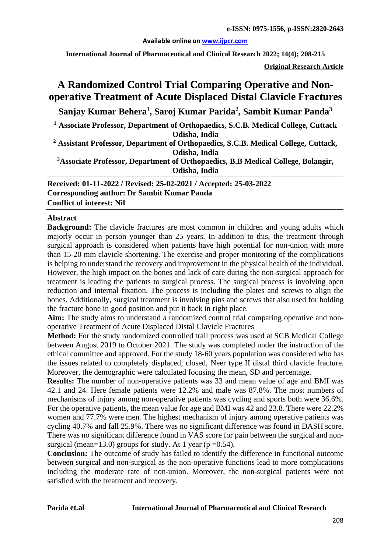#### **Available online on [www.ijpcr.com](http://www.ijpcr.com/)**

**International Journal of Pharmaceutical and Clinical Research 2022; 14(4); 208-215**

**Original Research Article**

# **A Randomized Control Trial Comparing Operative and Nonoperative Treatment of Acute Displaced Distal Clavicle Fractures**

**Sanjay Kumar Behera1 , Saroj Kumar Parida2 , Sambit Kumar Panda3**

**<sup>1</sup> Associate Professor, Department of Orthopaedics, S.C.B. Medical College, Cuttack Odisha, India** 

**<sup>2</sup> Assistant Professor, Department of Orthopaedics, S.C.B. Medical College, Cuttack, Odisha, India**

**3 Associate Professor, Department of Orthopaedics, B.B Medical College, Bolangir, Odisha, India**

**Received: 01-11-2022 / Revised: 25-02-2021 / Accepted: 25-03-2022 Corresponding author: Dr Sambit Kumar Panda Conflict of interest: Nil**

#### **Abstract**

**Background:** The clavicle fractures are most common in children and young adults which majorly occur in person younger than 25 years. In addition to this, the treatment through surgical approach is considered when patients have high potential for non-union with more than 15-20 mm clavicle shortening. The exercise and proper monitoring of the complications is helping to understand the recovery and improvement in the physical health of the individual. However, the high impact on the bones and lack of care during the non-surgical approach for treatment is leading the patients to surgical process. The surgical process is involving open reduction and internal fixation. The process is including the plates and screws to align the bones. Additionally, surgical treatment is involving pins and screws that also used for holding the fracture bone in good position and put it back in right place.

**Aim:** The study aims to understand a randomized control trial comparing operative and nonoperative Treatment of Acute Displaced Distal Clavicle Fractures

**Method:** For the study randomized controlled trail process was used at SCB Medical College between August 2019 to October 2021. The study was completed under the instruction of the ethical committee and approved. For the study 18-60 years population was considered who has the issues related to completely displaced, closed, Neer type II distal third clavicle fracture. Moreover, the demographic were calculated focusing the mean, SD and percentage.

**Results:** The number of non-operative patients was 33 and mean value of age and BMI was 42.1 and 24. Here female patients were 12.2% and male was 87.8%. The most numbers of mechanisms of injury among non-operative patients was cycling and sports both were 36.6%. For the operative patients, the mean value for age and BMI was 42 and 23.8. There were 22.2% women and 77.7% were men. The highest mechanism of injury among operative patients was cycling 40.7% and fall 25.9%. There was no significant difference was found in DASH score. There was no significant difference found in VAS score for pain between the surgical and nonsurgical (mean=13.0) groups for study. At 1 year ( $p = 0.54$ ).

**Conclusion:** The outcome of study has failed to identify the difference in functional outcome between surgical and non-surgical as the non-operative functions lead to more complications including the moderate rate of non-union. Moreover, the non-surgical patients were not satisfied with the treatment and recovery.

#### **Parida et.al International Journal of Pharmaceutical and Clinical Research**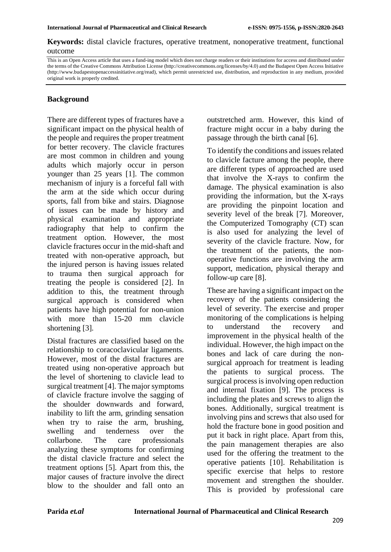**Keywords:** distal clavicle fractures, operative treatment, nonoperative treatment, functional outcome

This is an Open Access article that uses a fund-ing model which does not charge readers or their institutions for access and distributed under the terms of the Creative Commons Attribution License (http://creativecommons.org/licenses/by/4.0) and the Budapest Open Access Initiative (http://www.budapestopenaccessinitiative.org/read), which permit unrestricted use, distribution, and reproduction in any medium, provided original work is properly credited.

### **Background**

There are different types of fractures have a significant impact on the physical health of the people and requires the proper treatment for better recovery. The clavicle fractures are most common in children and young adults which majorly occur in person younger than 25 years [1]. The common mechanism of injury is a forceful fall with the arm at the side which occur during sports, fall from bike and stairs. Diagnose of issues can be made by history and physical examination and appropriate radiography that help to confirm the treatment option. However, the most clavicle fractures occur in the mid-shaft and treated with non-operative approach, but the injured person is having issues related to trauma then surgical approach for treating the people is considered [2]. In addition to this, the treatment through surgical approach is considered when patients have high potential for non-union with more than 15-20 mm clavicle shortening [3].

Distal fractures are classified based on the relationship to coracoclavicular ligaments. However, most of the distal fractures are treated using non-operative approach but the level of shortening to clavicle lead to surgical treatment [4]. The major symptoms of clavicle fracture involve the sagging of the shoulder downwards and forward, inability to lift the arm, grinding sensation when try to raise the arm, brushing, swelling and tenderness over the collarbone. The care professionals analyzing these symptoms for confirming the distal clavicle fracture and select the treatment options [5]. Apart from this, the major causes of fracture involve the direct blow to the shoulder and fall onto an outstretched arm. However, this kind of fracture might occur in a baby during the passage through the birth canal [6].

To identify the conditions and issues related to clavicle facture among the people, there are different types of approached are used that involve the X-rays to confirm the damage. The physical examination is also providing the information, but the X-rays are providing the pinpoint location and severity level of the break [7]. Moreover, the Computerized Tomography (CT) scan is also used for analyzing the level of severity of the clavicle fracture. Now, for the treatment of the patients, the nonoperative functions are involving the arm support, medication, physical therapy and follow-up care [8].

These are having a significant impact on the recovery of the patients considering the level of severity. The exercise and proper monitoring of the complications is helping to understand the recovery and improvement in the physical health of the individual. However, the high impact on the bones and lack of care during the nonsurgical approach for treatment is leading the patients to surgical process. The surgical process is involving open reduction and internal fixation [9]. The process is including the plates and screws to align the bones. Additionally, surgical treatment is involving pins and screws that also used for hold the fracture bone in good position and put it back in right place. Apart from this, the pain management therapies are also used for the offering the treatment to the operative patients [10]. Rehabilitation is specific exercise that helps to restore movement and strengthen the shoulder. This is provided by professional care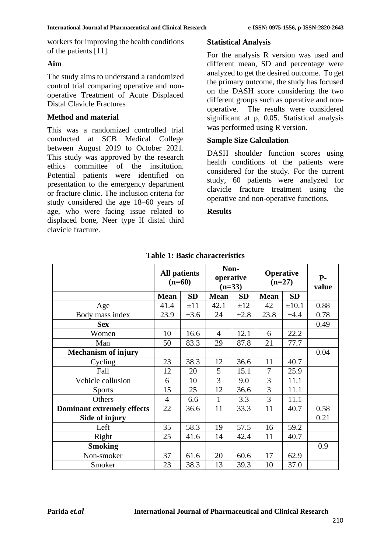workers for improving the health conditions of the patients [11].

## **Aim**

The study aims to understand a randomized control trial comparing operative and nonoperative Treatment of Acute Displaced Distal Clavicle Fractures

#### **Method and material**

This was a randomized controlled trial conducted at SCB Medical College between August 2019 to October 2021. This study was approved by the research ethics committee of the institution. Potential patients were identified on presentation to the emergency department or fracture clinic. The inclusion criteria for study considered the age 18–60 years of age, who were facing issue related to displaced bone, Neer type II distal third clavicle fracture.

#### **Statistical Analysis**

For the analysis R version was used and different mean, SD and percentage were analyzed to get the desired outcome. To get the primary outcome, the study has focused on the DASH score considering the two different groups such as operative and nonoperative. The results were considered significant at p, 0.05. Statistical analysis was performed using R version.

#### **Sample Size Calculation**

DASH shoulder function scores using health conditions of the patients were considered for the study. For the current study, 60 patients were analyzed for clavicle fracture treatment using the operative and non-operative functions.

#### **Results**

|                                   | <b>All patients</b><br>$(n=60)$ |           | Non-<br>operative<br>$(n=33)$ |           | <b>Operative</b><br>$(n=27)$ |            | $P-$<br>value |
|-----------------------------------|---------------------------------|-----------|-------------------------------|-----------|------------------------------|------------|---------------|
|                                   | <b>Mean</b>                     | <b>SD</b> | <b>Mean</b>                   | <b>SD</b> | <b>Mean</b>                  | <b>SD</b>  |               |
| Age                               | 41.4                            | $\pm 11$  | 42.1                          | $\pm 12$  | 42                           | $\pm 10.1$ | 0.88          |
| Body mass index                   | 23.9                            | $\pm 3.6$ | 24                            | $\pm 2.8$ | 23.8                         | ±4.4       | 0.78          |
| <b>Sex</b>                        |                                 |           |                               |           |                              |            | 0.49          |
| Women                             | 10                              | 16.6      | $\overline{4}$                | 12.1      | 6                            | 22.2       |               |
| Man                               | 50                              | 83.3      | 29                            | 87.8      | 21                           | 77.7       |               |
| <b>Mechanism of injury</b>        |                                 |           |                               |           |                              |            | 0.04          |
| Cycling                           | 23                              | 38.3      | 12                            | 36.6      | 11                           | 40.7       |               |
| Fall                              | 12                              | 20        | 5                             | 15.1      | 7                            | 25.9       |               |
| Vehicle collusion                 | 6                               | 10        | 3                             | 9.0       | 3                            | 11.1       |               |
| <b>Sports</b>                     | 15                              | 25        | 12                            | 36.6      | 3                            | 11.1       |               |
| Others                            | 4                               | 6.6       | 1                             | 3.3       | 3                            | 11.1       |               |
| <b>Dominant extremely effects</b> | 22                              | 36.6      | 11                            | 33.3      | 11                           | 40.7       | 0.58          |
| Side of injury                    |                                 |           |                               |           |                              |            | 0.21          |
| Left                              | 35                              | 58.3      | 19                            | 57.5      | 16                           | 59.2       |               |
| Right                             | 25                              | 41.6      | 14                            | 42.4      | 11                           | 40.7       |               |
| <b>Smoking</b>                    |                                 |           |                               |           |                              |            | 0.9           |
| Non-smoker                        | 37                              | 61.6      | 20                            | 60.6      | 17                           | 62.9       |               |
| Smoker                            | 23                              | 38.3      | 13                            | 39.3      | 10                           | 37.0       |               |

#### **Table 1: Basic characteristics**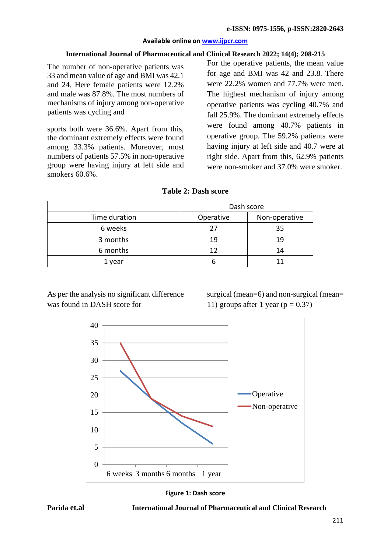#### **Available online on [www.ijpcr.com](http://www.ijpcr.com/)**

### **International Journal of Pharmaceutical and Clinical Research 2022; 14(4); 208-215**

The number of non-operative patients was 33 and mean value of age and BMI was 42.1 and 24. Here female patients were 12.2% and male was 87.8%. The most numbers of mechanisms of injury among non-operative patients was cycling and

sports both were 36.6%. Apart from this, the dominant extremely effects were found among 33.3% patients. Moreover, most numbers of patients 57.5% in non-operative group were having injury at left side and smokers 60.6%.

For the operative patients, the mean value for age and BMI was 42 and 23.8. There were 22.2% women and 77.7% were men. The highest mechanism of injury among operative patients was cycling 40.7% and fall 25.9%. The dominant extremely effects were found among 40.7% patients in operative group. The 59.2% patients were having injury at left side and 40.7 were at right side. Apart from this, 62.9% patients were non-smoker and 37.0% were smoker.

|               | Dash score |               |  |
|---------------|------------|---------------|--|
| Time duration | Operative  | Non-operative |  |
| 6 weeks       | 27         | 35            |  |
| 3 months      | 19         | 19            |  |
| 6 months      | 12         | 14            |  |
| 1 year        | n          |               |  |

As per the analysis no significant difference was found in DASH score for

surgical (mean=6) and non-surgical (mean= 11) groups after 1 year ( $p = 0.37$ )





**Parida et.al International Journal of Pharmaceutical and Clinical Research**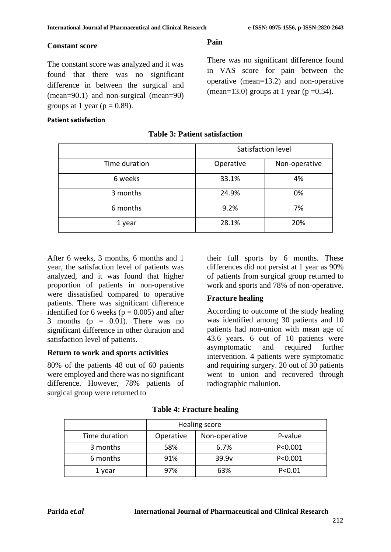There was no significant difference found in VAS score for pain between the operative (mean=13.2) and non-operative (mean=13.0) groups at 1 year ( $p = 0.54$ ).

#### **Constant score**

The constant score was analyzed and it was found that there was no significant difference in between the surgical and (mean=90.1) and non-surgical (mean=90) groups at 1 year ( $p = 0.89$ ).

#### **Patient satisfaction**

# Satisfaction level Time duration Time duration Non-operative 6 weeks 33.1% 4% 3 months 24.9% 0% 6 months 9.2% 7% 1 year 1 28.1% 28.1% 20%

#### **Table 3: Patient satisfaction**

**Pain**

After 6 weeks, 3 months, 6 months and 1 year, the satisfaction level of patients was analyzed, and it was found that higher proportion of patients in non-operative were dissatisfied compared to operative patients. There was significant difference identified for 6 weeks ( $p = 0.005$ ) and after 3 months ( $p = 0.01$ ). There was no significant difference in other duration and satisfaction level of patients.

#### **Return to work and sports activities**

80% of the patients 48 out of 60 patients were employed and there was no significant difference. However, 78% patients of surgical group were returned to

their full sports by 6 months. These differences did not persist at 1 year as 90% of patients from surgical group returned to work and sports and 78% of non-operative.

# **Fracture healing**

According to outcome of the study healing was identified among 30 patients and 10 patients had non-union with mean age of 43.6 years. 6 out of 10 patients were asymptomatic and required further intervention. 4 patients were symptomatic and requiring surgery. 20 out of 30 patients went to union and recovered through radiographic malunion.

|               |           | Healing score |           |
|---------------|-----------|---------------|-----------|
| Time duration | Operative | Non-operative | P-value   |
| 3 months      | 58%       | 6.7%          | P < 0.001 |
| 6 months      | 91%       | 39.9v         | P < 0.001 |
| 1 year        | 97%       | 63%           | P < 0.01  |

#### **Table 4: Fracture healing**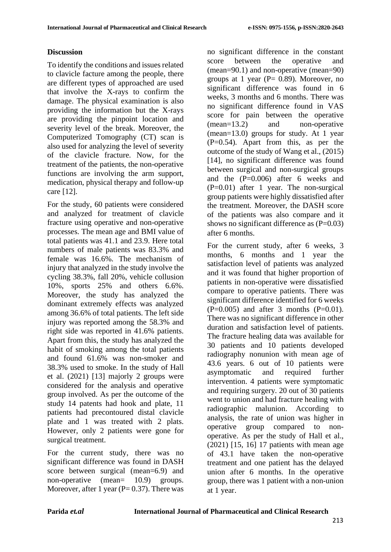# **Discussion**

To identify the conditions and issues related to clavicle facture among the people, there are different types of approached are used that involve the X-rays to confirm the damage. The physical examination is also providing the information but the X-rays are providing the pinpoint location and severity level of the break. Moreover, the Computerized Tomography (CT) scan is also used for analyzing the level of severity of the clavicle fracture. Now, for the treatment of the patients, the non-operative functions are involving the arm support, medication, physical therapy and follow-up care [12].

For the study, 60 patients were considered and analyzed for treatment of clavicle fracture using operative and non-operative processes. The mean age and BMI value of total patients was 41.1 and 23.9. Here total numbers of male patients was 83.3% and female was 16.6%. The mechanism of injury that analyzed in the study involve the cycling 38.3%, fall 20%, vehicle collusion 10%, sports 25% and others 6.6%. Moreover, the study has analyzed the dominant extremely effects was analyzed among 36.6% of total patients. The left side injury was reported among the 58.3% and right side was reported in 41.6% patients. Apart from this, the study has analyzed the habit of smoking among the total patients and found 61.6% was non-smoker and 38.3% used to smoke. In the study of Hall et al. (2021) [13] majorly 2 groups were considered for the analysis and operative group involved. As per the outcome of the study 14 patents had hook and plate, 11 patients had precontoured distal clavicle plate and 1 was treated with 2 plats. However, only 2 patients were gone for surgical treatment.

For the current study, there was no significant difference was found in DASH score between surgical (mean=6.9) and non-operative (mean= 10.9) groups. Moreover, after 1 year ( $P = 0.37$ ). There was

no significant difference in the constant score between the operative and (mean=90.1) and non-operative (mean=90) groups at 1 year ( $P = 0.89$ ). Moreover, no significant difference was found in 6 weeks, 3 months and 6 months. There was no significant difference found in VAS score for pain between the operative (mean=13.2) and non-operative (mean=13.0) groups for study. At 1 year (P=0.54). Apart from this, as per the outcome of the study of Wang et al., (2015) [14], no significant difference was found between surgical and non-surgical groups and the (P=0.006) after 6 weeks and (P=0.01) after 1 year. The non-surgical group patients were highly dissatisfied after the treatment. Moreover, the DASH score of the patients was also compare and it shows no significant difference as  $(P=0.03)$ after 6 months.

For the current study, after 6 weeks, 3 months, 6 months and 1 year the satisfaction level of patients was analyzed and it was found that higher proportion of patients in non-operative were dissatisfied compare to operative patients. There was significant difference identified for 6 weeks  $(P=0.005)$  and after 3 months  $(P=0.01)$ . There was no significant difference in other duration and satisfaction level of patients. The fracture healing data was available for 30 patients and 10 patients developed radiography nonunion with mean age of 43.6 years. 6 out of 10 patients were asymptomatic and required further intervention. 4 patients were symptomatic and requiring surgery. 20 out of 30 patients went to union and had fracture healing with radiographic malunion. According to analysis, the rate of union was higher in operative group compared to nonoperative. As per the study of Hall et al., (2021) [15, 16] 17 patients with mean age of 43.1 have taken the non-operative treatment and one patient has the delayed union after 6 months. In the operative group, there was 1 patient with a non-union at 1 year.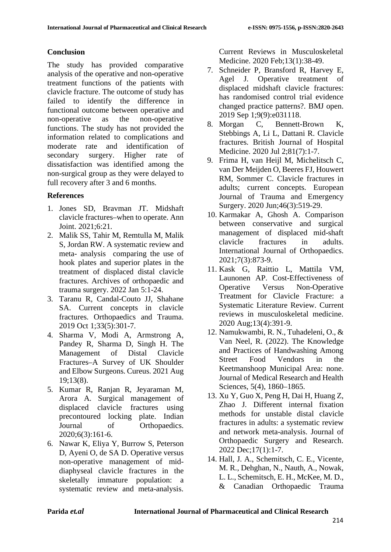# **Conclusion**

The study has provided comparative analysis of the operative and non-operative treatment functions of the patients with clavicle fracture. The outcome of study has failed to identify the difference in functional outcome between operative and non-operative as the non-operative functions. The study has not provided the information related to complications and moderate rate and identification of secondary surgery. Higher rate of dissatisfaction was identified among the non-surgical group as they were delayed to full recovery after 3 and 6 months.

# **References**

- 1. Jones SD, Bravman JT. Midshaft clavicle fractures–when to operate. Ann Joint. 2021;6:21.
- 2. Malik SS, Tahir M, Remtulla M, Malik S, Jordan RW. A systematic review and meta- analysis comparing the use of hook plates and superior plates in the treatment of displaced distal clavicle fractures. Archives of orthopaedic and trauma surgery. 2022 Jan 5:1-24.
- 3. Taranu R, Candal-Couto JJ, Shahane SA. Current concepts in clavicle fractures. Orthopaedics and Trauma. 2019 Oct 1;33(5):301-7.
- 4. Sharma V, Modi A, Armstrong A, Pandey R, Sharma D, Singh H. The Management of Distal Clavicle Fractures–A Survey of UK Shoulder and Elbow Surgeons. Cureus. 2021 Aug 19;13(8).
- 5. Kumar R, Ranjan R, Jeyaraman M, Arora A. Surgical management of displaced clavicle fractures using precontoured locking plate. Indian Journal of Orthopaedics. 2020;6(3):161-6.
- 6. Nawar K, Eliya Y, Burrow S, Peterson D, Ayeni O, de SA D. Operative versus non-operative management of middiaphyseal clavicle fractures in the skeletally immature population: a systematic review and meta-analysis.

Current Reviews in Musculoskeletal Medicine. 2020 Feb;13(1):38-49.

- 7. Schneider P, Bransford R, Harvey E, Agel J. Operative treatment of displaced midshaft clavicle fractures: has randomised control trial evidence changed practice patterns?. BMJ open. 2019 Sep 1;9(9):e031118.
- 8. Morgan C, Bennett-Brown K, Stebbings A, Li L, Dattani R. Clavicle fractures. British Journal of Hospital Medicine. 2020 Jul 2;81(7):1-7.
- 9. Frima H, van Heijl M, Michelitsch C, van Der Meijden O, Beeres FJ, Houwert RM, Sommer C. Clavicle fractures in adults; current concepts. European Journal of Trauma and Emergency Surgery. 2020 Jun;46(3):519-29.
- 10. Karmakar A, Ghosh A. Comparison between conservative and surgical management of displaced mid-shaft clavicle fractures in adults. International Journal of Orthopaedics. 2021;7(3):873-9.
- 11. Kask G, Raittio L, Mattila VM, Launonen AP. Cost-Effectiveness of Operative Versus Non-Operative Treatment for Clavicle Fracture: a Systematic Literature Review. Current reviews in musculoskeletal medicine. 2020 Aug;13(4):391-9.
- 12. Namukwambi, R. N., Tuhadeleni, O., & Van Neel, R. (2022). The Knowledge and Practices of Handwashing Among Street Food Vendors in the Keetmanshoop Municipal Area: none. Journal of Medical Research and Health Sciences, 5(4), 1860–1865.
- 13. Xu Y, Guo X, Peng H, Dai H, Huang Z, Zhao J. Different internal fixation methods for unstable distal clavicle fractures in adults: a systematic review and network meta-analysis. Journal of Orthopaedic Surgery and Research. 2022 Dec;17(1):1-7.
- 14. Hall, J. A., Schemitsch, C. E., Vicente, M. R., Dehghan, N., Nauth, A., Nowak, L. L., Schemitsch, E. H., McKee, M. D., & Canadian Orthopaedic Trauma